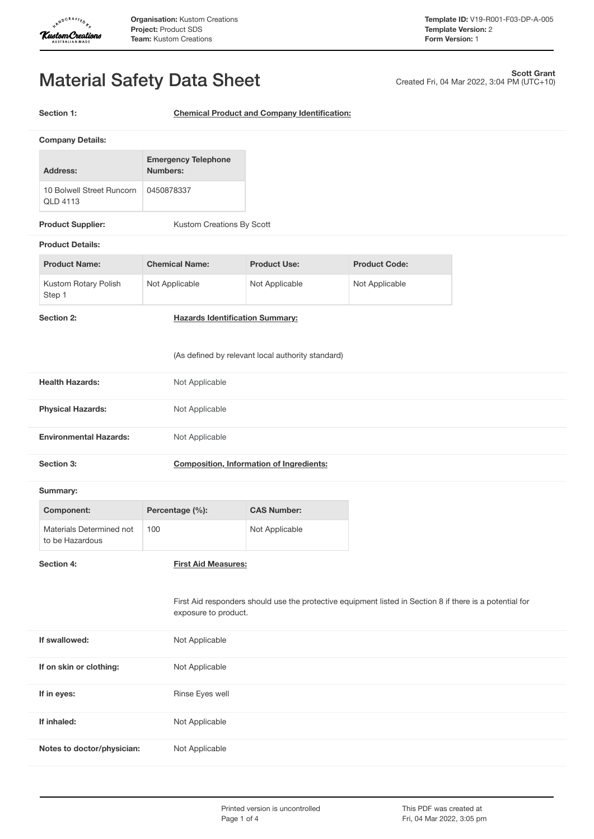

Created Fri, 04 Mar 2022, 3:04 PM (UTC+10)

**Scott Grant**

# Material Safety Data Sheet

**Section 1: Chemical Product and Company Identification:**

| <b>Company Details:</b>                      |                                        |  |
|----------------------------------------------|----------------------------------------|--|
| Address:                                     | <b>Emergency Telephone</b><br>Numbers: |  |
| 10 Bolwell Street Buncorn<br><b>OLD 4113</b> | 0450878337                             |  |
| <b>Product Supplier:</b>                     | Kustom Creations By Scott              |  |

#### **Product Details:**

| <b>Product Name:</b>           | <b>Chemical Name:</b> | <b>Product Use:</b> | <b>Product Code:</b> |
|--------------------------------|-----------------------|---------------------|----------------------|
| Kustom Rotary Polish<br>Step 1 | Not Applicable        | Not Applicable      | Not Applicable       |

**Section 2: Hazards Identification Summary:**

(As defined by relevant local authority standard)

| <b>Health Hazards:</b>                      |     | Not Applicable             |                                                 |                                                                                                          |
|---------------------------------------------|-----|----------------------------|-------------------------------------------------|----------------------------------------------------------------------------------------------------------|
| <b>Physical Hazards:</b>                    |     | Not Applicable             |                                                 |                                                                                                          |
| <b>Environmental Hazards:</b>               |     | Not Applicable             |                                                 |                                                                                                          |
| Section 3:                                  |     |                            | <b>Composition, Information of Ingredients:</b> |                                                                                                          |
| Summary:                                    |     |                            |                                                 |                                                                                                          |
| Component:                                  |     | Percentage (%):            | <b>CAS Number:</b>                              |                                                                                                          |
| Materials Determined not<br>to be Hazardous | 100 |                            | Not Applicable                                  |                                                                                                          |
| Section 4:                                  |     | <b>First Aid Measures:</b> |                                                 |                                                                                                          |
|                                             |     | exposure to product.       |                                                 | First Aid responders should use the protective equipment listed in Section 8 if there is a potential for |
| If swallowed:                               |     | Not Applicable             |                                                 |                                                                                                          |
| If on skin or clothing:                     |     | Not Applicable             |                                                 |                                                                                                          |
| If in eyes:                                 |     | Rinse Eyes well            |                                                 |                                                                                                          |
| If inhaled:                                 |     | Not Applicable             |                                                 |                                                                                                          |
| Notes to doctor/physician:                  |     | Not Applicable             |                                                 |                                                                                                          |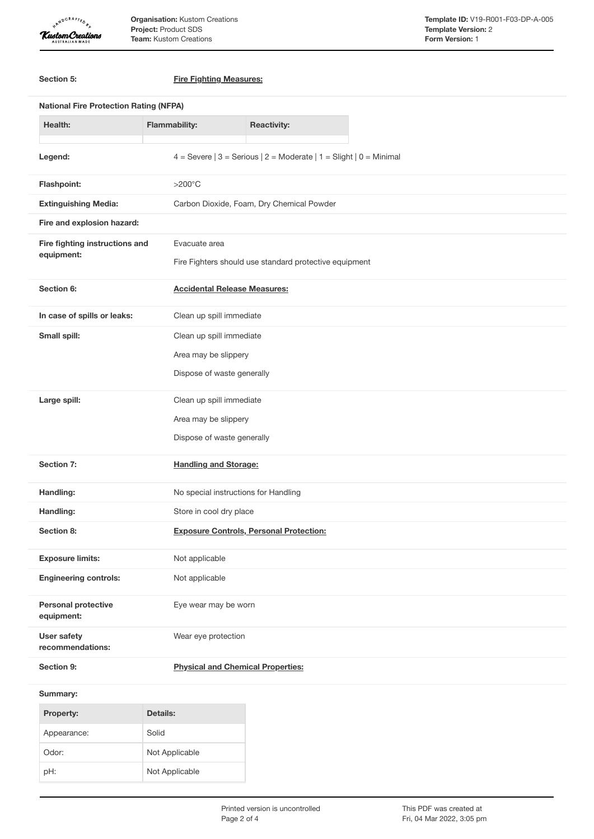

**Organisation:** Kustom Creations **Project:** Product SDS **Team:** Kustom Creations

| Section 5:                                                               | <b>Fire Fighting Measures:</b>                                         |  |  |
|--------------------------------------------------------------------------|------------------------------------------------------------------------|--|--|
| <b>National Fire Protection Rating (NFPA)</b>                            |                                                                        |  |  |
| <b>Health:</b>                                                           | <b>Flammability:</b><br><b>Reactivity:</b>                             |  |  |
| Legend:                                                                  | 4 = Severe $ 3$ = Serious $ 2$ = Moderate $ 1$ = Slight $ 0$ = Minimal |  |  |
| Flashpoint:                                                              | $>200^{\circ}$ C                                                       |  |  |
| Carbon Dioxide, Foam, Dry Chemical Powder<br><b>Extinguishing Media:</b> |                                                                        |  |  |
| Fire and explosion hazard:                                               |                                                                        |  |  |
| Fire fighting instructions and                                           | Evacuate area                                                          |  |  |
| equipment:                                                               | Fire Fighters should use standard protective equipment                 |  |  |
| Section 6:                                                               | <b>Accidental Release Measures:</b>                                    |  |  |
| In case of spills or leaks:                                              | Clean up spill immediate                                               |  |  |
| Small spill:                                                             | Clean up spill immediate                                               |  |  |
|                                                                          | Area may be slippery                                                   |  |  |
|                                                                          | Dispose of waste generally                                             |  |  |
| Large spill:                                                             | Clean up spill immediate                                               |  |  |
|                                                                          | Area may be slippery                                                   |  |  |
|                                                                          | Dispose of waste generally                                             |  |  |
| Section 7:                                                               | <b>Handling and Storage:</b>                                           |  |  |
| Handling:                                                                | No special instructions for Handling                                   |  |  |
| Handling:<br>Store in cool dry place                                     |                                                                        |  |  |
| Section 8:                                                               | <b>Exposure Controls, Personal Protection:</b>                         |  |  |
| <b>Exposure limits:</b>                                                  | Not applicable                                                         |  |  |
| <b>Engineering controls:</b>                                             | Not applicable                                                         |  |  |
| <b>Personal protective</b><br>equipment:                                 | Eye wear may be worn                                                   |  |  |
| <b>User safety</b><br>recommendations:                                   | Wear eye protection                                                    |  |  |
| Section 9:                                                               | <b>Physical and Chemical Properties:</b>                               |  |  |
| Summary:                                                                 |                                                                        |  |  |
| Property:                                                                | <b>Details:</b>                                                        |  |  |
| Appearance:                                                              | Solid                                                                  |  |  |
| Odor:                                                                    | Not Applicable                                                         |  |  |

pH: Not Applicable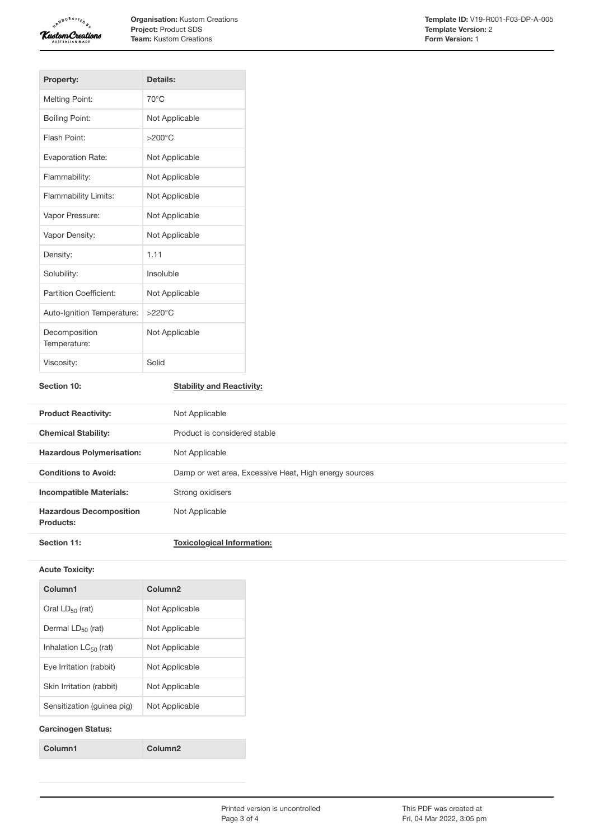

**Organisation:** Kustom Creations **Project:** Product SDS **Team:** Kustom Creations

| <b>Property:</b>              | Details:         |
|-------------------------------|------------------|
| <b>Melting Point:</b>         | $70^{\circ}$ C   |
| <b>Boiling Point:</b>         | Not Applicable   |
| Flash Point:                  | $>200^{\circ}$ C |
| <b>Evaporation Rate:</b>      | Not Applicable   |
| Flammability:                 | Not Applicable   |
| <b>Flammability Limits:</b>   | Not Applicable   |
| Vapor Pressure:               | Not Applicable   |
| Vapor Density:                | Not Applicable   |
| Density:                      | 1.11             |
| Solubility:                   | Insoluble        |
| Partition Coefficient:        | Not Applicable   |
| Auto-Ignition Temperature:    | $>220^{\circ}$ C |
| Decomposition<br>Temperature: | Not Applicable   |
| Viscosity:                    | Solid            |

## **Section 10: Stability and Reactivity:**

| <b>Product Reactivity:</b>                  | Not Applicable                                        |
|---------------------------------------------|-------------------------------------------------------|
| <b>Chemical Stability:</b>                  | Product is considered stable                          |
| <b>Hazardous Polymerisation:</b>            | Not Applicable                                        |
| <b>Conditions to Avoid:</b>                 | Damp or wet area, Excessive Heat, High energy sources |
| <b>Incompatible Materials:</b>              | Strong oxidisers                                      |
| <b>Hazardous Decomposition</b><br>Products: | Not Applicable                                        |
| Section 11:                                 | <b>Toxicological Information:</b>                     |

#### **Acute Toxicity:**

| Column1                    | Column <sub>2</sub> |
|----------------------------|---------------------|
| Oral $LD_{50}$ (rat)       | Not Applicable      |
| Dermal $LD_{50}$ (rat)     | Not Applicable      |
| Inhalation $LC_{50}$ (rat) | Not Applicable      |
| Eve Irritation (rabbit)    | Not Applicable      |
| Skin Irritation (rabbit)   | Not Applicable      |
| Sensitization (quinea pig) | Not Applicable      |
|                            |                     |

### **Carcinogen Status:**